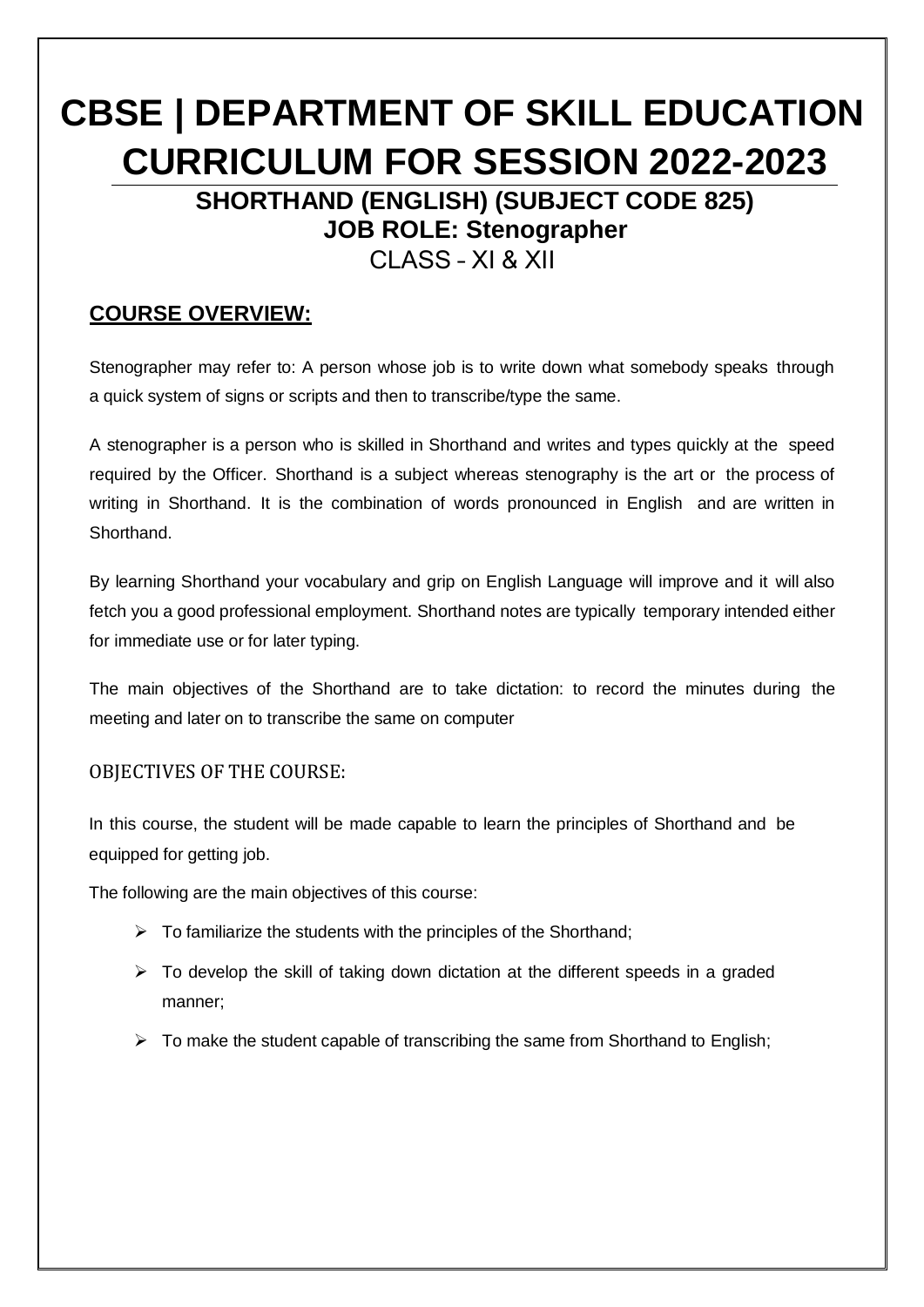# **CBSE | DEPARTMENT OF SKILL EDUCATION CURRICULUM FOR SESSION 2022-2023**

**SHORTHAND (ENGLISH) (SUBJECT CODE 825) JOB ROLE: Stenographer**

CLASS – XI & XII

### **COURSE OVERVIEW:**

Stenographer may refer to: A person whose job is to write down what somebody speaks through a quick system of signs or scripts and then to transcribe/type the same.

A stenographer is a person who is skilled in Shorthand and writes and types quickly at the speed required by the Officer. Shorthand is a subject whereas stenography is the art or the process of writing in Shorthand. It is the combination of words pronounced in English and are written in Shorthand.

By learning Shorthand your vocabulary and grip on English Language will improve and it will also fetch you a good professional employment. Shorthand notes are typically temporary intended either for immediate use or for later typing.

The main objectives of the Shorthand are to take dictation: to record the minutes during the meeting and later on to transcribe the same on computer

#### OBJECTIVES OF THE COURSE:

In this course, the student will be made capable to learn the principles of Shorthand and be equipped for getting job.

The following are the main objectives of this course:

- $\triangleright$  To familiarize the students with the principles of the Shorthand:
- $\triangleright$  To develop the skill of taking down dictation at the different speeds in a graded manner;
- $\triangleright$  To make the student capable of transcribing the same from Shorthand to English;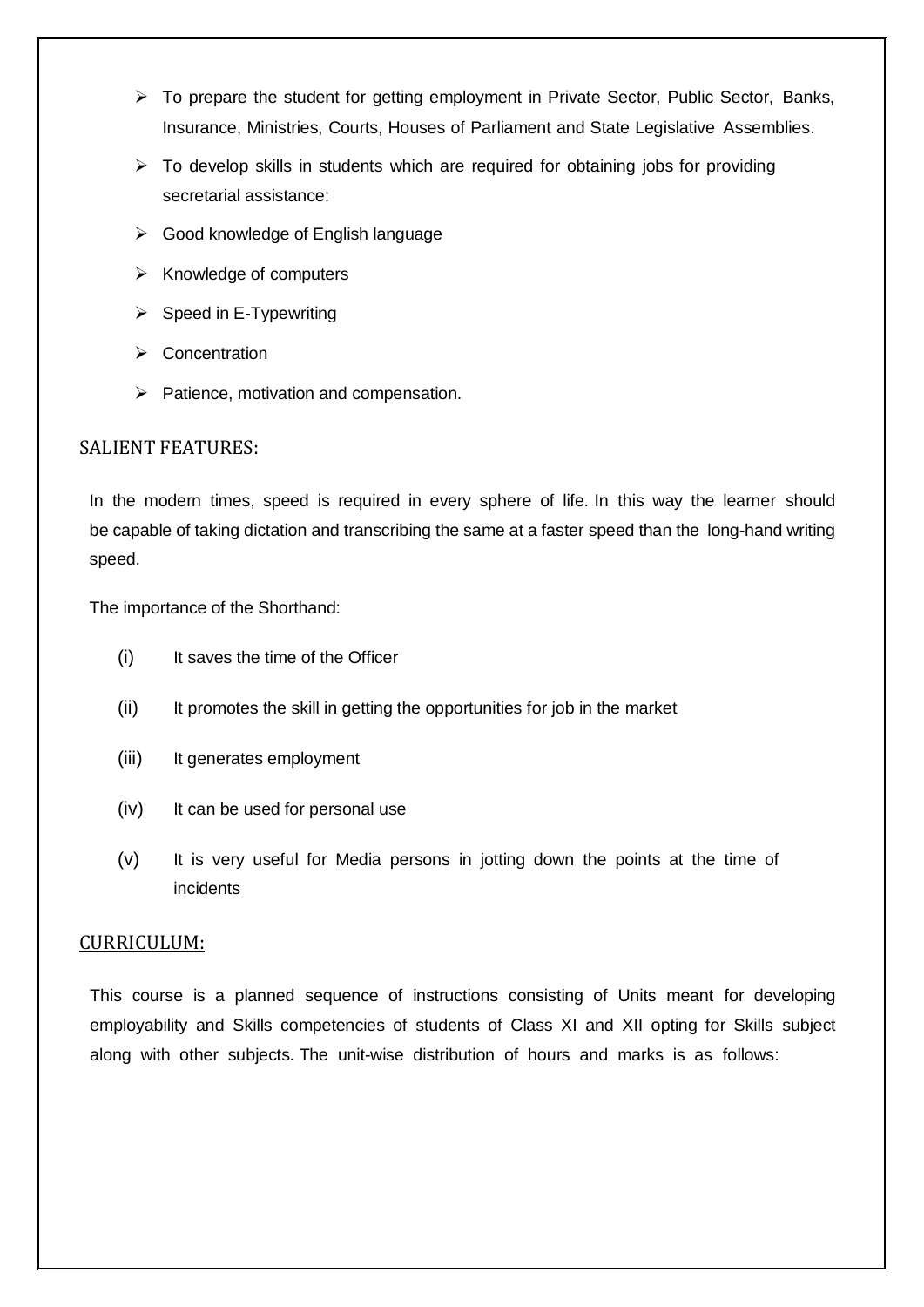- $\triangleright$  To prepare the student for getting employment in Private Sector, Public Sector, Banks, Insurance, Ministries, Courts, Houses of Parliament and State Legislative Assemblies.
- $\triangleright$  To develop skills in students which are required for obtaining jobs for providing secretarial assistance:
- $\triangleright$  Good knowledge of English language
- $\triangleright$  Knowledge of computers
- $\triangleright$  Speed in E-Typewriting
- $\triangleright$  Concentration
- $\triangleright$  Patience, motivation and compensation.

#### SALIENT FEATURES:

In the modern times, speed is required in every sphere of life. In this way the learner should be capable of taking dictation and transcribing the same at a faster speed than the long-hand writing speed.

The importance of the Shorthand:

- (i) It saves the time of the Officer
- (ii) It promotes the skill in getting the opportunities for job in the market
- (iii) It generates employment
- (iv) It can be used for personal use
- (v) It is very useful for Media persons in jotting down the points at the time of incidents

#### CURRICULUM:

This course is a planned sequence of instructions consisting of Units meant for developing employability and Skills competencies of students of Class XI and XII opting for Skills subject along with other subjects. The unit-wise distribution of hours and marks is as follows: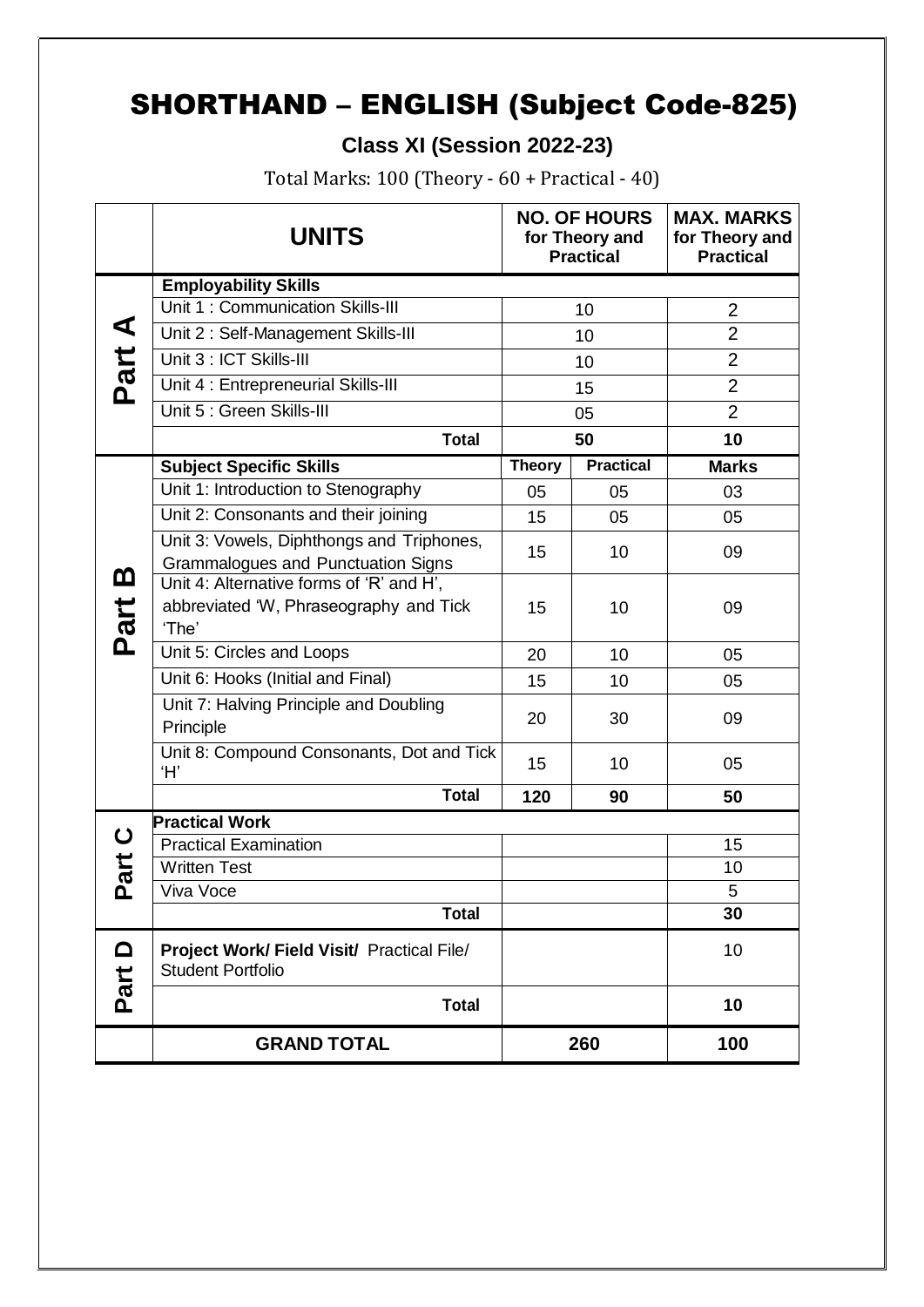## SHORTHAND – ENGLISH (Subject Code-825)

 **Class XI (Session 2022-23)**

Total Marks: 100 (Theory - 60 + Practical - 40)

|                  | <b>UNITS</b>                                                                                |               | <b>NO. OF HOURS</b><br>for Theory and<br><b>Practical</b> | <b>MAX. MARKS</b><br>for Theory and<br><b>Practical</b> |
|------------------|---------------------------------------------------------------------------------------------|---------------|-----------------------------------------------------------|---------------------------------------------------------|
|                  | <b>Employability Skills</b>                                                                 |               |                                                           |                                                         |
|                  | Unit 1: Communication Skills-III                                                            | 10            |                                                           | $\overline{2}$                                          |
|                  | Unit 2: Self-Management Skills-III                                                          |               | 10                                                        | $\overline{2}$                                          |
|                  | Unit 3 : ICT Skills-III                                                                     |               | 10                                                        | $\overline{2}$                                          |
| Part A           | Unit 4 : Entrepreneurial Skills-III                                                         |               | 15                                                        | $\overline{2}$                                          |
|                  | Unit 5 : Green Skills-III                                                                   |               | 05                                                        | $\overline{2}$                                          |
|                  | <b>Total</b>                                                                                |               | 50                                                        | 10                                                      |
|                  | <b>Subject Specific Skills</b>                                                              | <b>Theory</b> | <b>Practical</b>                                          | <b>Marks</b>                                            |
|                  | Unit 1: Introduction to Stenography                                                         | 05            | 05                                                        | 03                                                      |
|                  | Unit 2: Consonants and their joining                                                        | 15            | 05                                                        | 05                                                      |
|                  | Unit 3: Vowels, Diphthongs and Triphones,<br><b>Grammalogues and Punctuation Signs</b>      | 10<br>15      |                                                           | 09                                                      |
| <u>ന</u><br>Part | Unit 4: Alternative forms of 'R' and H',<br>abbreviated 'W, Phraseography and Tick<br>'The' | 15            | 10                                                        | 09                                                      |
|                  | Unit 5: Circles and Loops                                                                   | 20            | 10                                                        | 05                                                      |
|                  | Unit 6: Hooks (Initial and Final)                                                           | 15            | 10                                                        | 05                                                      |
|                  | Unit 7: Halving Principle and Doubling<br>Principle                                         | 20            | 30                                                        | 09                                                      |
|                  | Unit 8: Compound Consonants, Dot and Tick<br>Ή,                                             | 15            | 10                                                        | 05                                                      |
|                  | <b>Total</b>                                                                                | 120           | 90                                                        | 50                                                      |
| $\mathbf C$      | <b>Practical Work</b>                                                                       |               |                                                           |                                                         |
|                  | <b>Practical Examination</b><br><b>Written Test</b>                                         |               |                                                           | 15<br>10                                                |
| tie<br>൨         | Viva Voce                                                                                   |               |                                                           | 5                                                       |
|                  | <b>Total</b>                                                                                |               |                                                           | 30                                                      |
| $\Omega$         | Project Work/ Field Visit/ Practical File/<br><b>Student Portfolio</b>                      |               |                                                           | 10                                                      |
| Part             | <b>Total</b>                                                                                |               |                                                           | 10                                                      |
|                  | <b>GRAND TOTAL</b>                                                                          |               | 260                                                       | 100                                                     |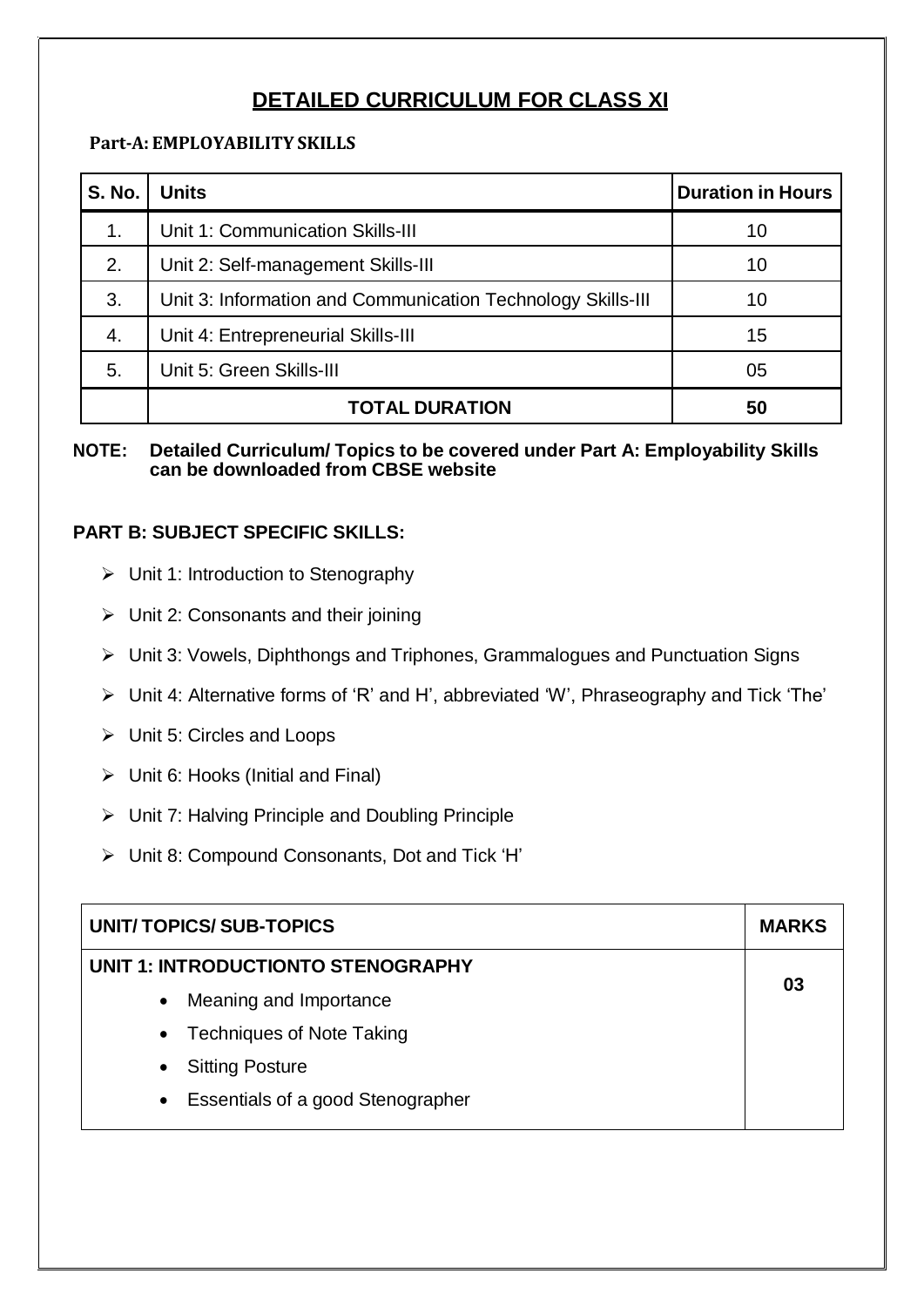### **DETAILED CURRICULUM FOR CLASS XI**

#### **Part-A: EMPLOYABILITY SKILLS**

| <b>S. No.</b> | <b>Units</b>                                                | <b>Duration in Hours</b> |
|---------------|-------------------------------------------------------------|--------------------------|
| 1.            | Unit 1: Communication Skills-III                            | 10                       |
| 2.            | Unit 2: Self-management Skills-III                          | 10                       |
| 3.            | Unit 3: Information and Communication Technology Skills-III | 10                       |
| 4.            | Unit 4: Entrepreneurial Skills-III                          | 15                       |
| 5.            | Unit 5: Green Skills-III                                    | 05                       |
|               | <b>TOTAL DURATION</b>                                       | 50                       |

#### **NOTE: Detailed Curriculum/ Topics to be covered under Part A: Employability Skills can be downloaded from CBSE website**

#### **PART B: SUBJECT SPECIFIC SKILLS:**

- $\triangleright$  Unit 1: Introduction to Stenography
- $\triangleright$  Unit 2: Consonants and their joining
- Unit 3: Vowels, Diphthongs and Triphones, Grammalogues and Punctuation Signs
- Unit 4: Alternative forms of 'R' and H', abbreviated 'W', Phraseography and Tick 'The'
- Unit 5: Circles and Loops
- $\triangleright$  Unit 6: Hooks (Initial and Final)
- $\triangleright$  Unit 7: Halving Principle and Doubling Principle
- Unit 8: Compound Consonants, Dot and Tick 'H'

| UNIT/TOPICS/SUB-TOPICS                                |    |  |
|-------------------------------------------------------|----|--|
| UNIT 1: INTRODUCTIONTO STENOGRAPHY                    | 03 |  |
| Meaning and Importance<br>$\bullet$                   |    |  |
| <b>Techniques of Note Taking</b><br>$\bullet$         |    |  |
| <b>Sitting Posture</b><br>$\bullet$                   |    |  |
| <b>Essentials of a good Stenographer</b><br>$\bullet$ |    |  |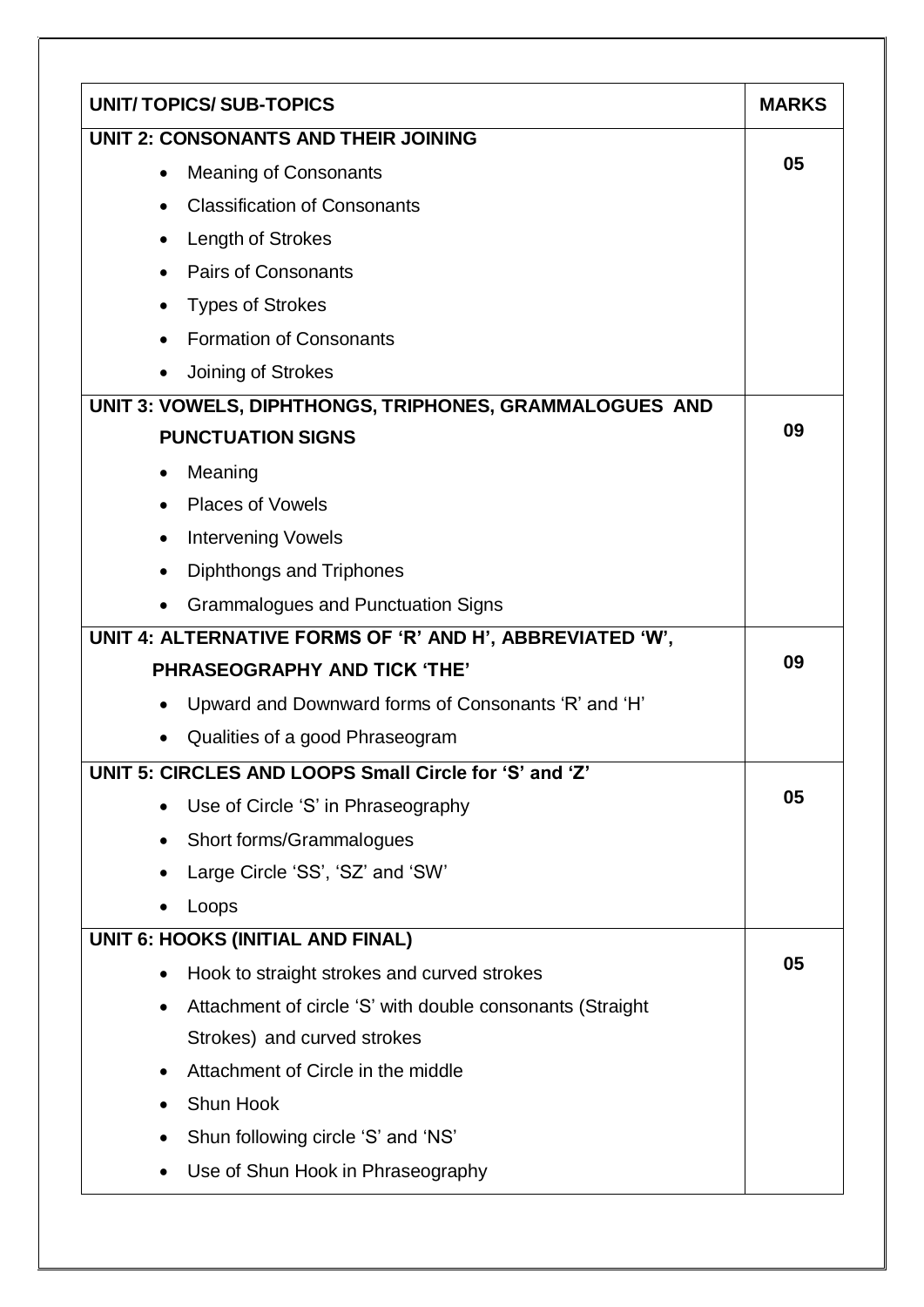|                                           | <b>UNIT/TOPICS/SUB-TOPICS</b>                             | <b>MARKS</b> |  |
|-------------------------------------------|-----------------------------------------------------------|--------------|--|
| UNIT 2: CONSONANTS AND THEIR JOINING      |                                                           |              |  |
| <b>Meaning of Consonants</b><br>$\bullet$ |                                                           |              |  |
| $\bullet$                                 | <b>Classification of Consonants</b>                       |              |  |
|                                           | Length of Strokes                                         |              |  |
| $\bullet$                                 | <b>Pairs of Consonants</b>                                |              |  |
| $\bullet$                                 | <b>Types of Strokes</b>                                   |              |  |
|                                           | <b>Formation of Consonants</b>                            |              |  |
|                                           | Joining of Strokes                                        |              |  |
|                                           | UNIT 3: VOWELS, DIPHTHONGS, TRIPHONES, GRAMMALOGUES AND   |              |  |
|                                           | <b>PUNCTUATION SIGNS</b>                                  | 09           |  |
| $\bullet$                                 | Meaning                                                   |              |  |
|                                           | <b>Places of Vowels</b>                                   |              |  |
| $\bullet$                                 | <b>Intervening Vowels</b>                                 |              |  |
|                                           | Diphthongs and Triphones                                  |              |  |
|                                           | <b>Grammalogues and Punctuation Signs</b>                 |              |  |
|                                           | UNIT 4: ALTERNATIVE FORMS OF 'R' AND H', ABBREVIATED 'W', |              |  |
|                                           | <b>PHRASEOGRAPHY AND TICK 'THE'</b>                       | 09           |  |
|                                           | Upward and Downward forms of Consonants 'R' and 'H'       |              |  |
|                                           | Qualities of a good Phraseogram                           |              |  |
|                                           | UNIT 5: CIRCLES AND LOOPS Small Circle for 'S' and 'Z'    |              |  |
| ٠                                         | Use of Circle 'S' in Phraseography                        | 05           |  |
| $\bullet$                                 | Short forms/Grammalogues                                  |              |  |
| $\bullet$                                 | Large Circle 'SS', 'SZ' and 'SW'                          |              |  |
|                                           | Loops                                                     |              |  |
|                                           | <b>UNIT 6: HOOKS (INITIAL AND FINAL)</b>                  |              |  |
| $\bullet$                                 | Hook to straight strokes and curved strokes               | 05           |  |
| $\bullet$                                 | Attachment of circle 'S' with double consonants (Straight |              |  |
|                                           | Strokes) and curved strokes                               |              |  |
| $\bullet$                                 | Attachment of Circle in the middle                        |              |  |
|                                           | Shun Hook                                                 |              |  |
|                                           | Shun following circle 'S' and 'NS'                        |              |  |
|                                           | Use of Shun Hook in Phraseography                         |              |  |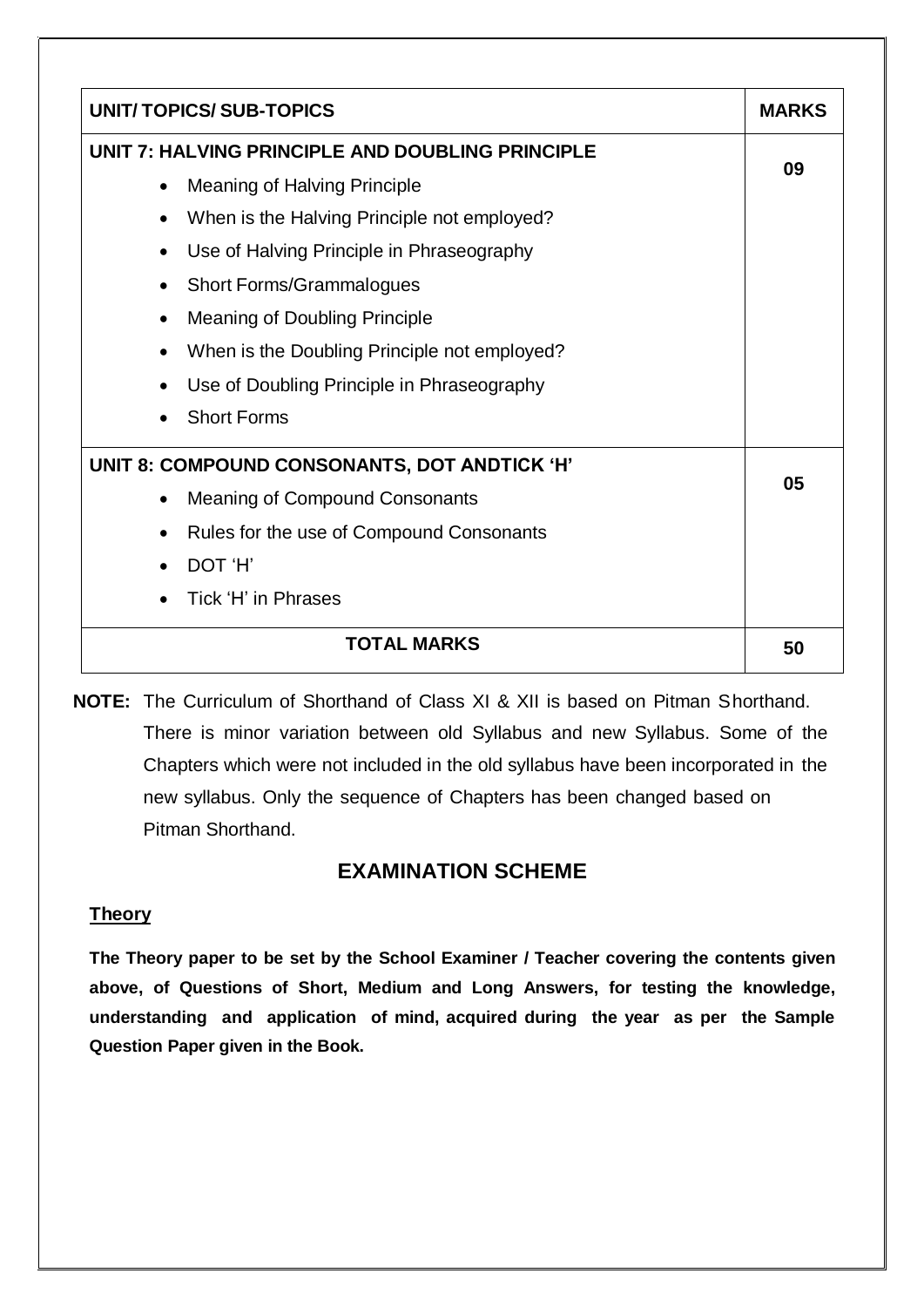| <b>UNIT/TOPICS/SUB-TOPICS</b>                          | <b>MARKS</b> |
|--------------------------------------------------------|--------------|
| UNIT 7: HALVING PRINCIPLE AND DOUBLING PRINCIPLE       |              |
| <b>Meaning of Halving Principle</b><br>٠               | 09           |
| When is the Halving Principle not employed?            |              |
| Use of Halving Principle in Phraseography<br>$\bullet$ |              |
| <b>Short Forms/Grammalogues</b>                        |              |
| <b>Meaning of Doubling Principle</b><br>$\bullet$      |              |
| When is the Doubling Principle not employed?           |              |
| Use of Doubling Principle in Phraseography             |              |
| <b>Short Forms</b>                                     |              |
| UNIT 8: COMPOUND CONSONANTS, DOT ANDTICK 'H'           |              |
| <b>Meaning of Compound Consonants</b><br>$\bullet$     | 05           |
| Rules for the use of Compound Consonants<br>$\bullet$  |              |
| DOT 'H'                                                |              |
| Tick 'H' in Phrases                                    |              |
| <b>TOTAL MARKS</b>                                     | 50           |

**NOTE:** The Curriculum of Shorthand of Class XI & XII is based on Pitman Shorthand. There is minor variation between old Syllabus and new Syllabus. Some of the Chapters which were not included in the old syllabus have been incorporated in the new syllabus. Only the sequence of Chapters has been changed based on Pitman Shorthand.

### **EXAMINATION SCHEME**

### **Theory**

**The Theory paper to be set by the School Examiner / Teacher covering the contents given above, of Questions of Short, Medium and Long Answers, for testing the knowledge, understanding and application of mind, acquired during the year as per the Sample Question Paper given in the Book.**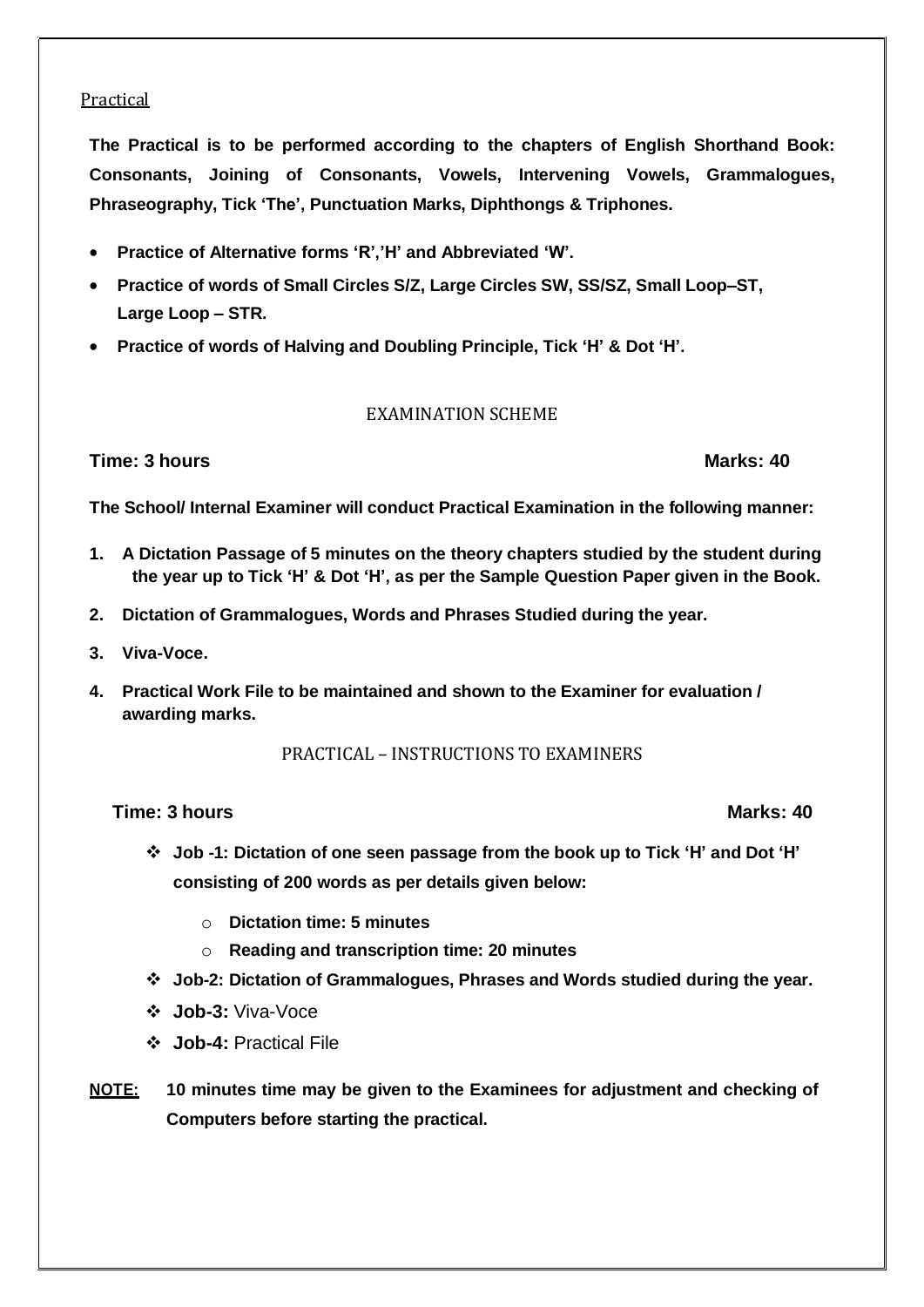#### Practical

**The Practical is to be performed according to the chapters of English Shorthand Book: Consonants, Joining of Consonants, Vowels, Intervening Vowels, Grammalogues, Phraseography, Tick 'The', Punctuation Marks, Diphthongs & Triphones.**

- **Practice of Alternative forms 'R','H' and Abbreviated 'W'.**
- **Practice of words of Small Circles S/Z, Large Circles SW, SS/SZ, Small Loop–ST, Large Loop – STR.**
- **Practice of words of Halving and Doubling Principle, Tick 'H' & Dot 'H'.**

#### EXAMINATION SCHEME

#### **Time: 3 hours Marks: 40**

**The School/ Internal Examiner will conduct Practical Examination in the following manner:**

- **1. A Dictation Passage of 5 minutes on the theory chapters studied by the student during the year up to Tick 'H' & Dot 'H', as per the Sample Question Paper given in the Book.**
- **2. Dictation of Grammalogues, Words and Phrases Studied during the year.**
- **3. Viva-Voce.**
- **4. Practical Work File to be maintained and shown to the Examiner for evaluation / awarding marks.**

#### PRACTICAL – INSTRUCTIONS TO EXAMINERS

**Time: 3 hours Marks: 40**

- **Job -1: Dictation of one seen passage from the book up to Tick 'H' and Dot 'H' consisting of 200 words as per details given below:**
	- o **Dictation time: 5 minutes**
	- o **Reading and transcription time: 20 minutes**
- **Job-2: Dictation of Grammalogues, Phrases and Words studied during the year.**
- **Job-3:** Viva-Voce
- **Job-4:** Practical File
- **NOTE: 10 minutes time may be given to the Examinees for adjustment and checking of Computers before starting the practical.**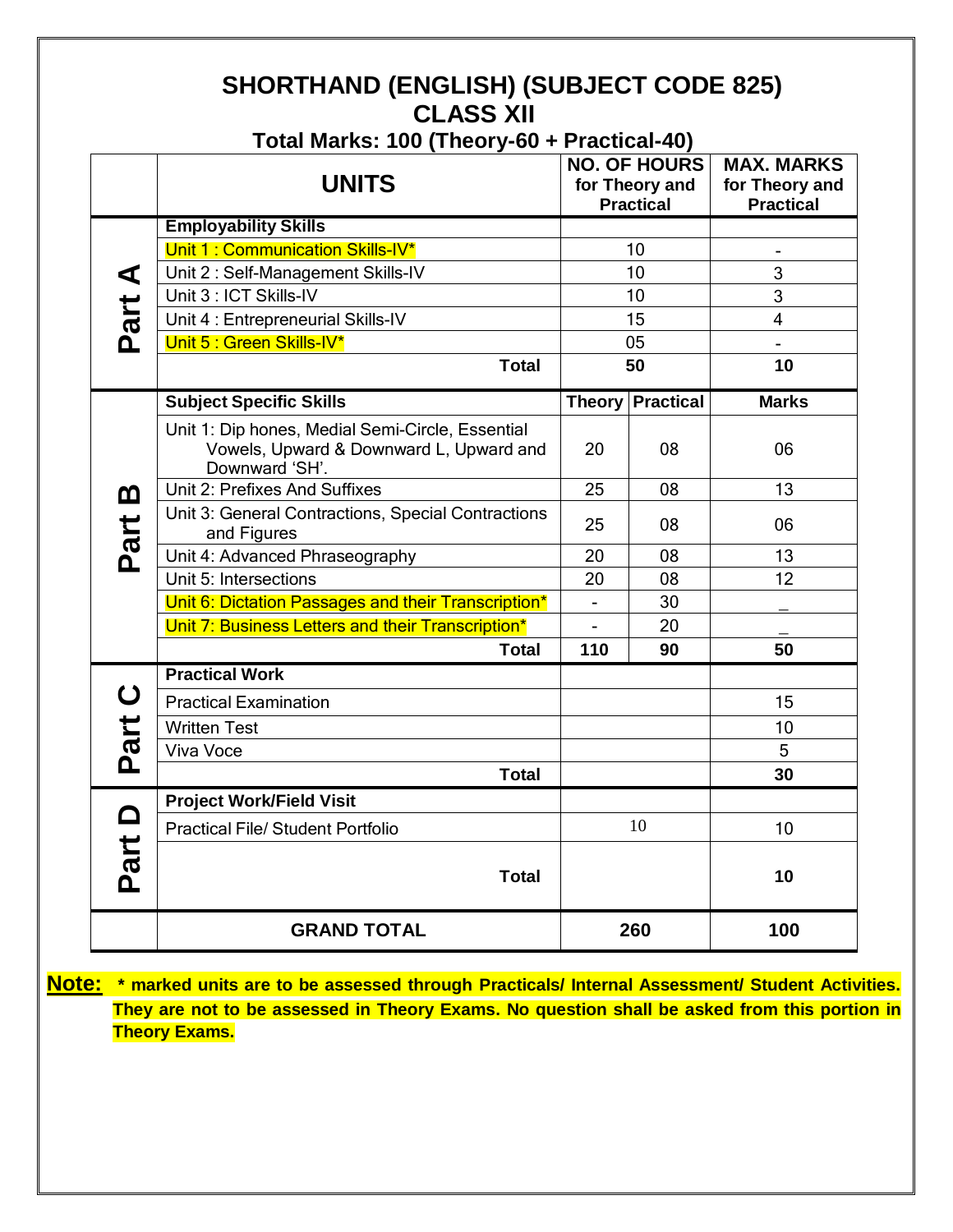## **SHORTHAND (ENGLISH) (SUBJECT CODE 825) CLASS XII**

|  | Total Marks: 100 (Theory-60 + Practical-40) |
|--|---------------------------------------------|
|--|---------------------------------------------|

|             | <b>UNITS</b>                                                                                                  |                | <b>NO. OF HOURS</b><br>for Theory and<br><b>Practical</b> | <b>MAX. MARKS</b><br>for Theory and<br><b>Practical</b> |
|-------------|---------------------------------------------------------------------------------------------------------------|----------------|-----------------------------------------------------------|---------------------------------------------------------|
|             | <b>Employability Skills</b>                                                                                   |                |                                                           |                                                         |
|             | Unit 1: Communication Skills-IV*                                                                              |                | 10                                                        |                                                         |
|             | Unit 2: Self-Management Skills-IV                                                                             | 10             |                                                           | 3                                                       |
|             | Unit 3 : ICT Skills-IV                                                                                        | 10             |                                                           | 3                                                       |
| Part A      | Unit 4 : Entrepreneurial Skills-IV                                                                            | 15             |                                                           | $\overline{4}$                                          |
|             | Unit 5 : Green Skills-IV*                                                                                     |                | 05                                                        |                                                         |
|             | <b>Total</b>                                                                                                  |                | 50                                                        | 10                                                      |
|             | <b>Subject Specific Skills</b>                                                                                |                | <b>Theory Practical</b>                                   | <b>Marks</b>                                            |
|             | Unit 1: Dip hones, Medial Semi-Circle, Essential<br>Vowels, Upward & Downward L, Upward and<br>Downward 'SH'. | 20             | 08                                                        | 06                                                      |
| <u>ന</u>    | Unit 2: Prefixes And Suffixes                                                                                 | 25             | 08                                                        | 13                                                      |
| Part        | Unit 3: General Contractions, Special Contractions<br>and Figures                                             | 25             | 08                                                        | 06                                                      |
|             | Unit 4: Advanced Phraseography                                                                                | 20             | 08                                                        | 13                                                      |
|             | Unit 5: Intersections                                                                                         | 20             | 08                                                        | 12                                                      |
|             | Unit 6: Dictation Passages and their Transcription*                                                           | $\blacksquare$ | 30                                                        |                                                         |
|             | Unit 7: Business Letters and their Transcription*                                                             |                | 20                                                        |                                                         |
|             | <b>Total</b>                                                                                                  | 110            | 90                                                        | 50                                                      |
|             | <b>Practical Work</b>                                                                                         |                |                                                           |                                                         |
| $\mathbf C$ | <b>Practical Examination</b>                                                                                  |                |                                                           | 15                                                      |
| Part        | <b>Written Test</b>                                                                                           |                |                                                           | 10                                                      |
|             | Viva Voce                                                                                                     |                |                                                           | 5                                                       |
|             | <b>Total</b>                                                                                                  |                |                                                           | 30                                                      |
|             | <b>Project Work/Field Visit</b>                                                                               |                |                                                           |                                                         |
|             | <b>Practical File/ Student Portfolio</b>                                                                      |                | 10                                                        | 10                                                      |
| Part D      | <b>Total</b>                                                                                                  |                |                                                           | 10                                                      |
|             | <b>GRAND TOTAL</b>                                                                                            |                | 260                                                       | 100                                                     |

**Note: \* marked units are to be assessed through Practicals/ Internal Assessment/ Student Activities. They are not to be assessed in Theory Exams. No question shall be asked from this portion in Theory Exams.**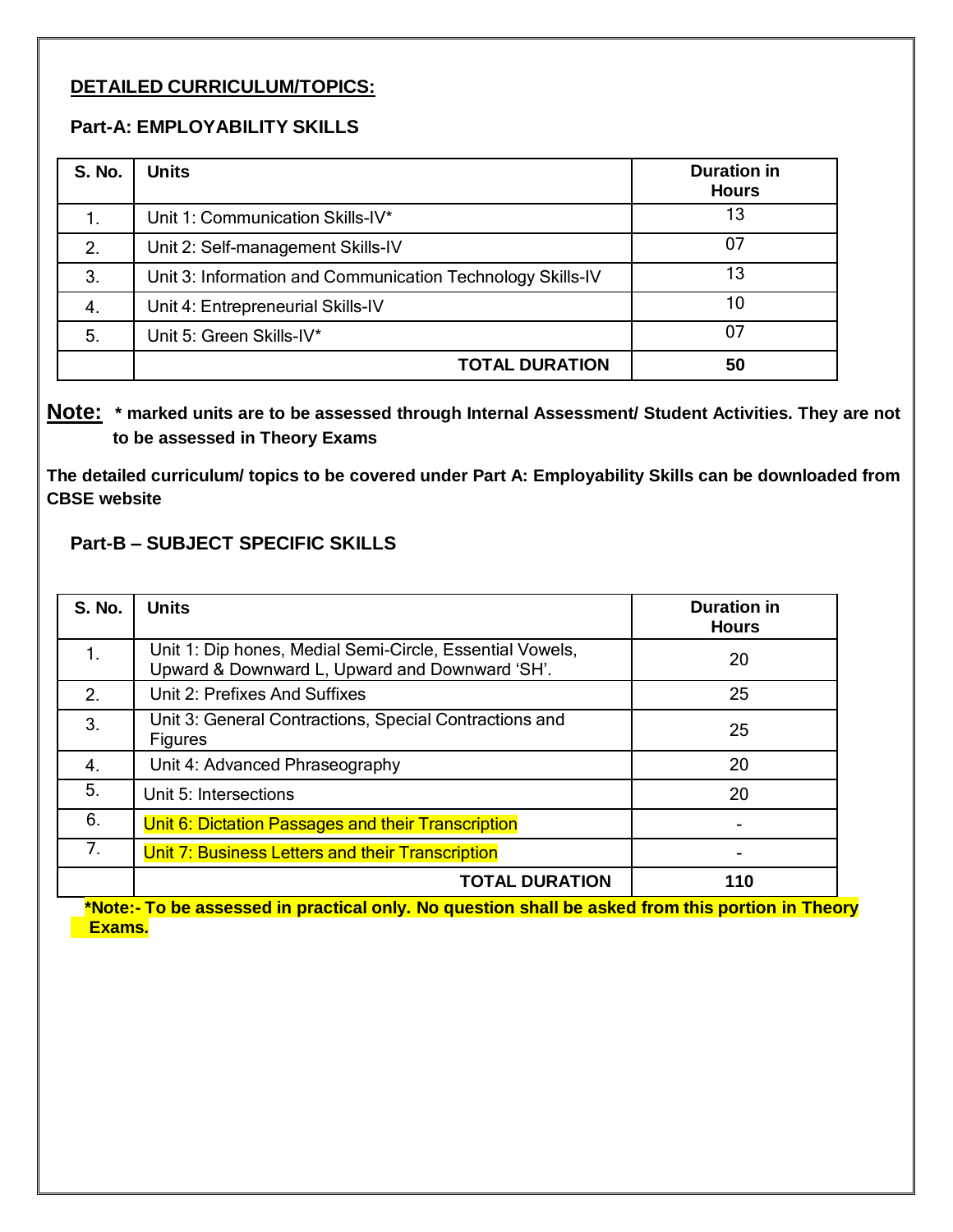#### **DETAILED CURRICULUM/TOPICS:**

#### **Part-A: EMPLOYABILITY SKILLS**

| <b>S. No.</b> | <b>Units</b>                                               | <b>Duration in</b><br><b>Hours</b> |
|---------------|------------------------------------------------------------|------------------------------------|
| 1.            | Unit 1: Communication Skills-IV*                           | 13                                 |
| 2.            | Unit 2: Self-management Skills-IV                          | 07                                 |
| 3.            | Unit 3: Information and Communication Technology Skills-IV | 13                                 |
| 4.            | Unit 4: Entrepreneurial Skills-IV                          | 10                                 |
| 5.            | Unit 5: Green Skills-IV*                                   | 07                                 |
|               | <b>TOTAL DURATION</b>                                      | 50                                 |

#### **Note: \* marked units are to be assessed through Internal Assessment/ Student Activities. They are not to be assessed in Theory Exams**

**The detailed curriculum/ topics to be covered under Part A: Employability Skills can be downloaded from CBSE website**

#### **Part-B – SUBJECT SPECIFIC SKILLS**

| <b>S. No.</b>  | <b>Units</b>                                                                                               | <b>Duration in</b><br><b>Hours</b> |
|----------------|------------------------------------------------------------------------------------------------------------|------------------------------------|
| 1.             | Unit 1: Dip hones, Medial Semi-Circle, Essential Vowels,<br>Upward & Downward L, Upward and Downward 'SH'. | 20                                 |
| 2.             | Unit 2: Prefixes And Suffixes                                                                              | 25                                 |
| 3.             | Unit 3: General Contractions, Special Contractions and<br><b>Figures</b>                                   | 25                                 |
| 4.             | Unit 4: Advanced Phraseography                                                                             | 20                                 |
| 5.             | Unit 5: Intersections                                                                                      | 20                                 |
| 6.             | Unit 6: Dictation Passages and their Transcription                                                         |                                    |
| 7 <sub>1</sub> | Unit 7: Business Letters and their Transcription                                                           |                                    |
|                | <b>TOTAL DURATION</b>                                                                                      | 110                                |

**\*Note:- To be assessed in practical only. No question shall be asked from this portion in Theory Exams.**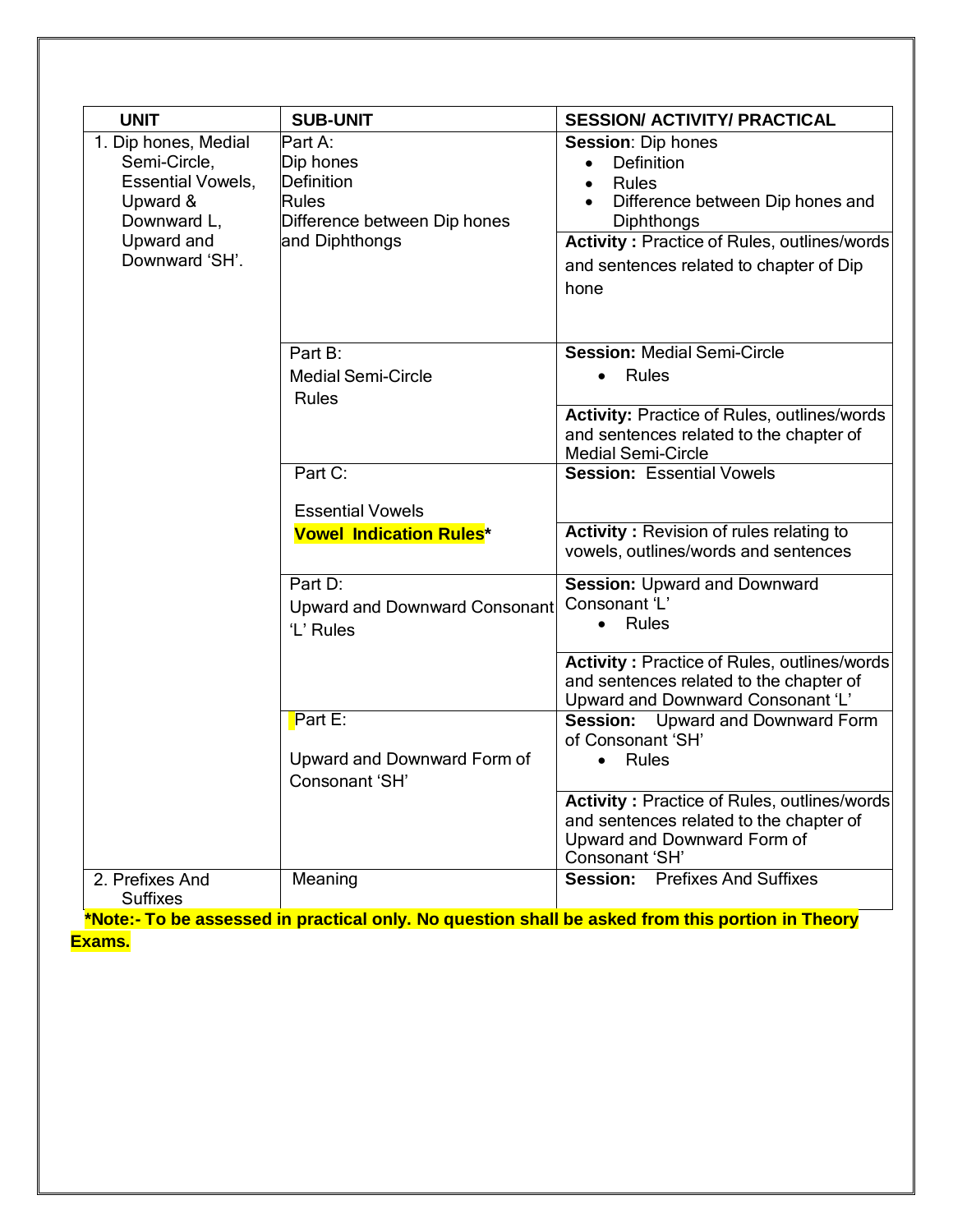| <b>UNIT</b>                                                                                                                 | <b>SUB-UNIT</b>                                                                                             | <b>SESSION/ ACTIVITY/ PRACTICAL</b>                                                                                                                                                                                             |
|-----------------------------------------------------------------------------------------------------------------------------|-------------------------------------------------------------------------------------------------------------|---------------------------------------------------------------------------------------------------------------------------------------------------------------------------------------------------------------------------------|
| 1. Dip hones, Medial<br>Semi-Circle,<br><b>Essential Vowels,</b><br>Upward &<br>Downward L.<br>Upward and<br>Downward 'SH'. | Part A:<br>Dip hones<br><b>Definition</b><br><b>Rules</b><br>Difference between Dip hones<br>and Diphthongs | <b>Session: Dip hones</b><br>Definition<br><b>Rules</b><br>$\bullet$<br>Difference between Dip hones and<br>Diphthongs<br><b>Activity: Practice of Rules, outlines/words</b><br>and sentences related to chapter of Dip<br>hone |
|                                                                                                                             | Part B:<br><b>Medial Semi-Circle</b><br>Rules                                                               | <b>Session: Medial Semi-Circle</b><br>Rules<br>$\bullet$<br><b>Activity: Practice of Rules, outlines/words</b><br>and sentences related to the chapter of<br><b>Medial Semi-Circle</b>                                          |
|                                                                                                                             | Part C:                                                                                                     | <b>Session: Essential Vowels</b>                                                                                                                                                                                                |
|                                                                                                                             | <b>Essential Vowels</b>                                                                                     |                                                                                                                                                                                                                                 |
|                                                                                                                             | <b>Vowel Indication Rules*</b>                                                                              | <b>Activity: Revision of rules relating to</b><br>vowels, outlines/words and sentences                                                                                                                                          |
|                                                                                                                             | Part D:<br>Upward and Downward Consonant<br>'L' Rules                                                       | Session: Upward and Downward<br>Consonant 'L'<br>• Rules                                                                                                                                                                        |
|                                                                                                                             |                                                                                                             | <b>Activity: Practice of Rules, outlines/words</b><br>and sentences related to the chapter of<br>Upward and Downward Consonant 'L'                                                                                              |
|                                                                                                                             | $Part E$ :<br>Upward and Downward Form of<br>Consonant 'SH'                                                 | Session: Upward and Downward Form<br>of Consonant 'SH'<br>Rules                                                                                                                                                                 |
|                                                                                                                             |                                                                                                             | Activity: Practice of Rules, outlines/words<br>and sentences related to the chapter of<br>Upward and Downward Form of<br>Consonant 'SH'                                                                                         |
| 2. Prefixes And<br><b>Suffixes</b>                                                                                          | Meaning                                                                                                     | Session:<br><b>Prefixes And Suffixes</b><br>*Note: To be assessed in practical only. No question shall be asked from this portion in Theory                                                                                     |

**\*Note:- To be assessed in practical only. No question shall be asked from this portion in Theory Exams.**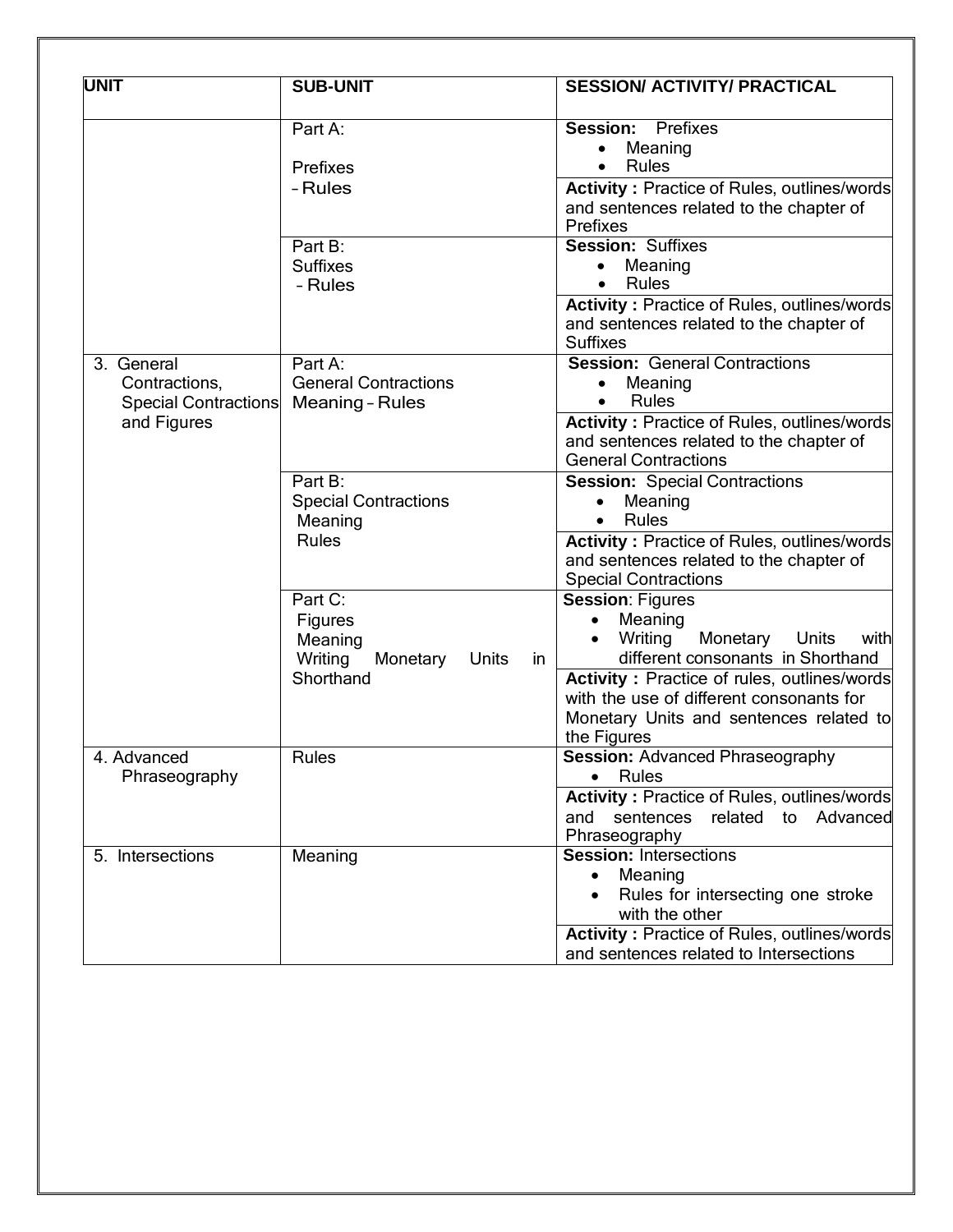| <b>UNIT</b>                                                               | <b>SUB-UNIT</b>                                                   |              | <b>SESSION/ ACTIVITY/ PRACTICAL</b>                                                                                                                                                                                                                                                      |
|---------------------------------------------------------------------------|-------------------------------------------------------------------|--------------|------------------------------------------------------------------------------------------------------------------------------------------------------------------------------------------------------------------------------------------------------------------------------------------|
|                                                                           | Part A:<br>Prefixes<br>- Rules                                    |              | <b>Session: Prefixes</b><br>Meaning<br><b>Rules</b><br><b>Activity: Practice of Rules, outlines/words</b><br>and sentences related to the chapter of<br><b>Prefixes</b>                                                                                                                  |
|                                                                           | Part B:<br><b>Suffixes</b><br>- Rules                             |              | <b>Session: Suffixes</b><br>Meaning<br>$\bullet$<br>Rules<br>Activity: Practice of Rules, outlines/words<br>and sentences related to the chapter of<br><b>Suffixes</b>                                                                                                                   |
| 3. General<br>Contractions,<br><b>Special Contractions</b><br>and Figures | Part A:<br><b>General Contractions</b><br><b>Meaning - Rules</b>  |              | <b>Session: General Contractions</b><br>Meaning<br>٠<br>Rules<br><b>Activity: Practice of Rules, outlines/words</b><br>and sentences related to the chapter of<br><b>General Contractions</b>                                                                                            |
|                                                                           | Part B:<br><b>Special Contractions</b><br>Meaning<br><b>Rules</b> |              | <b>Session: Special Contractions</b><br>Meaning<br>Rules<br>Activity: Practice of Rules, outlines/words<br>and sentences related to the chapter of<br><b>Special Contractions</b>                                                                                                        |
|                                                                           | Part C:<br>Figures<br>Meaning<br>Writing<br>Monetary<br>Shorthand | Units<br>in. | <b>Session: Figures</b><br>Meaning<br>$\bullet$<br>Writing<br>Monetary<br>Units<br>with<br>different consonants in Shorthand<br><b>Activity: Practice of rules, outlines/words</b><br>with the use of different consonants for<br>Monetary Units and sentences related to<br>the Figures |
| 4. Advanced<br>Phraseography                                              | <b>Rules</b>                                                      |              | <b>Session: Advanced Phraseography</b><br>• Rules<br><b>Activity: Practice of Rules, outlines/words</b><br>related to Advanced<br>and sentences<br>Phraseography                                                                                                                         |
| 5. Intersections                                                          | Meaning                                                           |              | <b>Session: Intersections</b><br>Meaning<br>Rules for intersecting one stroke<br>with the other<br><b>Activity: Practice of Rules, outlines/words</b><br>and sentences related to Intersections                                                                                          |